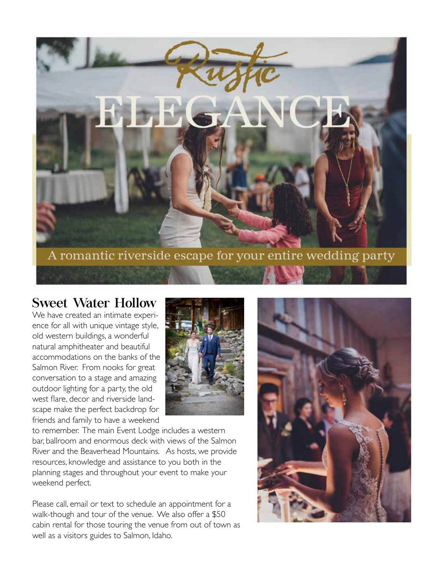

### Sweet Water Hollow

We have created an intimate experience for all with unique vintage style, old western buildings, a wonderful natural amphitheater and beautiful accommodations on the banks of the Salmon River. From nooks for great conversation to a stage and amazing outdoor lighting for a party, the old west flare, decor and riverside landscape make the perfect backdrop for friends and family to have a weekend



to remember. The main Event Lodge includes a western bar, ballroom and enormous deck with views of the Salmon River and the Beaverhead Mountains. As hosts, we provide resources, knowledge and assistance to you both in the planning stages and throughout your event to make your weekend perfect.

Please call, email or text to schedule an appointment for a walk-though and tour of the venue. We also offer a \$50 cabin rental for those touring the venue from out of town as well as a visitors guides to Salmon, Idaho.

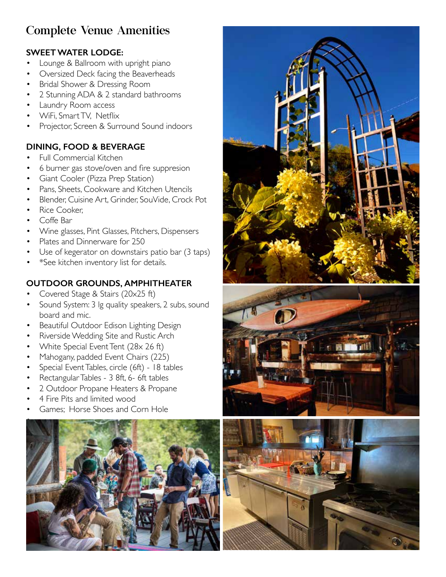### Complete Venue Amenities

#### **SWEET WATER LODGE:**

- Lounge & Ballroom with upright piano
- Oversized Deck facing the Beaverheads
- Bridal Shower & Dressing Room
- 2 Stunning ADA & 2 standard bathrooms
- Laundry Room access
- WiFi, Smart TV, Netflix
- Projector, Screen & Surround Sound indoors

#### **DINING, FOOD & BEVERAGE**

- Full Commercial Kitchen
- 6 burner gas stove/oven and fire suppresion
- Giant Cooler (Pizza Prep Station)
- Pans, Sheets, Cookware and Kitchen Utencils
- Blender, Cuisine Art, Grinder, SouVide, Crock Pot
- Rice Cooker,
- Coffe Bar
- Wine glasses, Pint Glasses, Pitchers, Dispensers
- Plates and Dinnerware for 250
- Use of kegerator on downstairs patio bar (3 taps)
- \*See kitchen inventory list for details.

#### **OUTDOOR GROUNDS, AMPHITHEATER**

- Covered Stage & Stairs (20x25 ft)
- Sound System: 3 lg quality speakers, 2 subs, sound board and mic.
- Beautiful Outdoor Edison Lighting Design
- Riverside Wedding Site and Rustic Arch
- White Special Event Tent (28x 26 ft)
- Mahogany, padded Event Chairs (225)
- Special Event Tables, circle (6ft) 18 tables
- Rectangular Tables 3 8ft, 6- 6ft tables
- 2 Outdoor Propane Heaters & Propane
- 4 Fire Pits and limited wood
- Games; Horse Shoes and Corn Hole







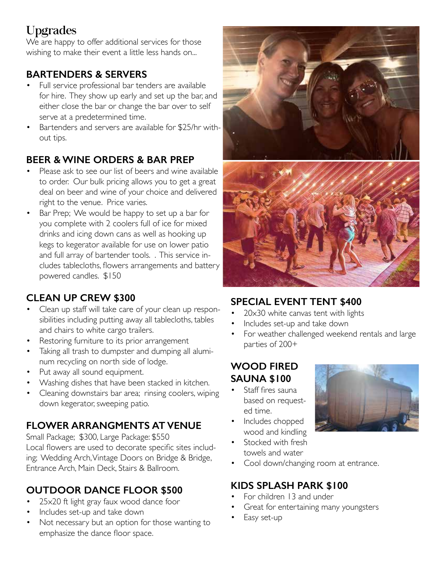### Upgrades

We are happy to offer additional services for those wishing to make their event a little less hands on...

#### **BARTENDERS & SERVERS**

- Full service professional bar tenders are available for hire. They show up early and set up the bar, and either close the bar or change the bar over to self serve at a predetermined time.
- Bartenders and servers are available for \$25/hr without tips.

#### **BEER & WINE ORDERS & BAR PREP**

- Please ask to see our list of beers and wine available to order. Our bulk pricing allows you to get a great deal on beer and wine of your choice and delivered right to the venue. Price varies.
- Bar Prep; We would be happy to set up a bar for you complete with 2 coolers full of ice for mixed drinks and icing down cans as well as hooking up kegs to kegerator available for use on lower patio and full array of bartender tools. . This service includes tablecloths, flowers arrangements and battery powered candles. \$150

### **CLEAN UP CREW \$300**

- Clean up staff will take care of your clean up responsibilities including putting away all tablecloths, tables and chairs to white cargo trailers.
- Restoring furniture to its prior arrangement
- Taking all trash to dumpster and dumping all aluminum recycling on north side of lodge.
- Put away all sound equipment.
- Washing dishes that have been stacked in kitchen.
- Cleaning downstairs bar area; rinsing coolers, wiping down kegerator, sweeping patio.

### **FLOWER ARRANGMENTS AT VENUE**

Small Package; \$300, Large Package: \$550 Local flowers are used to decorate specific sites including; Wedding Arch, Vintage Doors on Bridge & Bridge, Entrance Arch, Main Deck, Stairs & Ballroom.

### **OUTDOOR DANCE FLOOR \$500**

- 25x20 ft light gray faux wood dance foor
- Includes set-up and take down
- Not necessary but an option for those wanting to emphasize the dance floor space.





### **SPECIAL EVENT TENT \$400**

- 20×30 white canvas tent with lights
- Includes set-up and take down
- For weather challenged weekend rentals and large parties of 200+

#### **WOOD FIRED SAUNA \$100**

- Staff fires sauna based on requested time.
- Includes chopped wood and kindling
- Stocked with fresh towels and water
- Cool down/changing room at entrance.

### **KIDS SPLASH PARK \$100**

- For children 13 and under
- Great for entertaining many youngsters
- Easy set-up

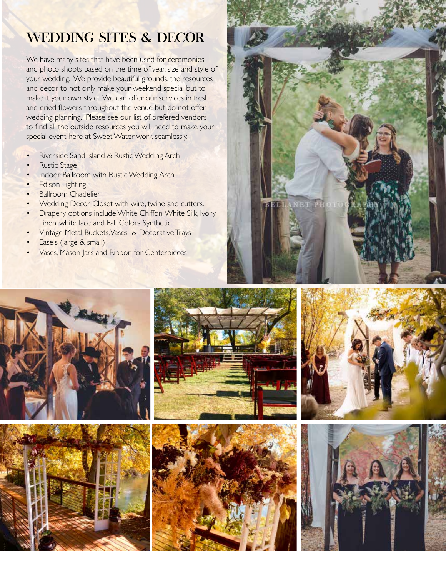## WEDDING SITES & DECOR

We have many sites that have been used for ceremonies and photo shoots based on the time of year, size and style of your wedding. We provide beautiful grounds, the resources and decor to not only make your weekend special but to make it your own style. We can offer our services in fresh and dried flowers throughout the venue but do not offer wedding planning. Please see our list of prefered vendors to find all the outside resources you will need to make your special event here at Sweet Water work seamlessly.

- Riverside Sand Island & Rustic Wedding Arch
- Rustic Stage
- Indoor Ballroom with Rustic Wedding Arch
- **Edison Lighting**
- Ballroom Chadelier
- Wedding Decor Closet with wire, twine and cutters.
- Drapery options include White Chiffon, White Silk, Ivory Linen. white lace and Fall Colors Synthetic.
- Vintage Metal Buckets, Vases & Decorative Trays
- Easels (large & small)
- Vases, Mason Jars and Ribbon for Centerpieces











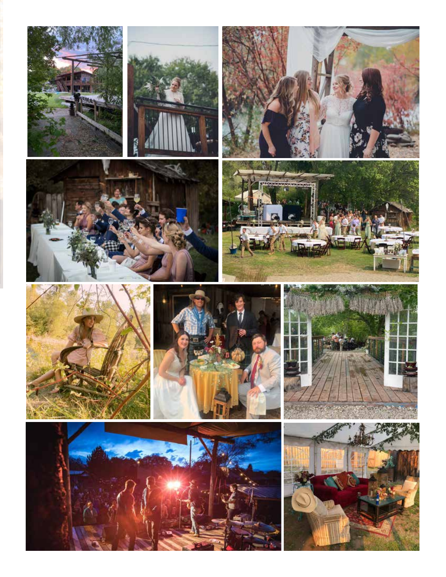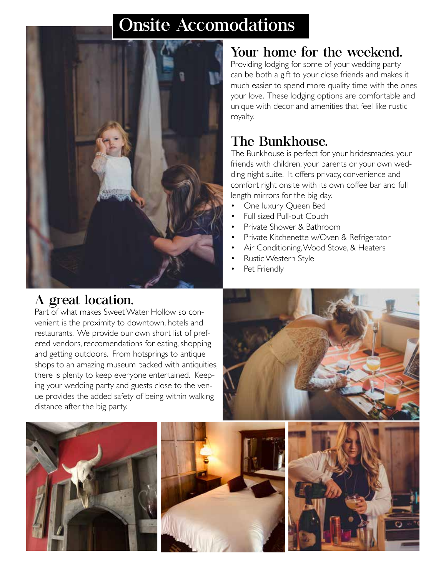# Onsite Accomodations



## A great location.

Part of what makes Sweet Water Hollow so convenient is the proximity to downtown, hotels and restaurants. We provide our own short list of prefered vendors, reccomendations for eating, shopping and getting outdoors. From hotsprings to antique shops to an amazing museum packed with antiquities, there is plenty to keep everyone entertained. Keeping your wedding party and guests close to the venue provides the added safety of being within walking distance after the big party.

## Your home for the weekend.

Providing lodging for some of your wedding party can be both a gift to your close friends and makes it much easier to spend more quality time with the ones your love. These lodging options are comfortable and unique with decor and amenities that feel like rustic royalty.

### The Bunkhouse.

The Bunkhouse is perfect for your bridesmades, your friends with children, your parents or your own wedding night suite. It offers privacy, convenience and comfort right onsite with its own coffee bar and full length mirrors for the big day.

- One luxury Queen Bed
- Full sized Pull-out Couch
- Private Shower & Bathroom
- Private Kitchenette w/Oven & Refrigerator
- Air Conditioning, Wood Stove, & Heaters
- Rustic Western Style
- Pet Friendly







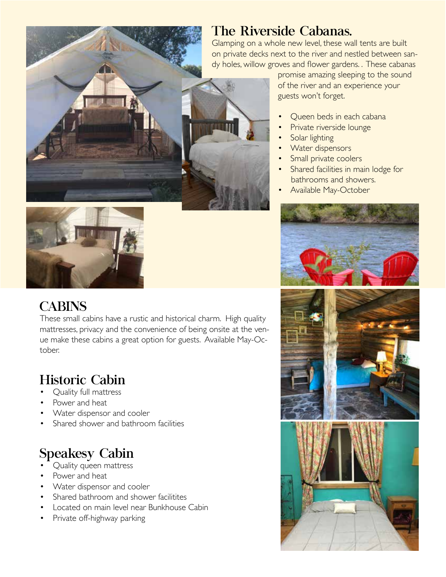

## The Riverside Cabanas.

Glamping on a whole new level, these wall tents are built on private decks next to the river and nestled between sandy holes, willow groves and flower gardens. . These cabanas

promise amazing sleeping to the sound of the river and an experience your guests won't forget.

- Queen beds in each cabana
- Private riverside lounge
- Solar lighting
- Water dispensors
- Small private coolers
- **Shared facilities in main lodge for** bathrooms and showers.
- Available May-October



### **CABINS**

These small cabins have a rustic and historical charm. High quality mattresses, privacy and the convenience of being onsite at the venue make these cabins a great option for guests. Available May-October.

## Historic Cabin

- Quality full mattress
- Power and heat
- Water dispensor and cooler
- Shared shower and bathroom facilities

## Speakesy Cabin

- Quality queen mattress
- Power and heat
- Water dispensor and cooler
- Shared bathroom and shower facilitites
- Located on main level near Bunkhouse Cabin
- Private off-highway parking